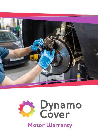

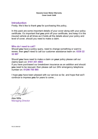# **Introduction**

Firstly; We'd like to thank you for purchasing this policy,

In this pack are some important details of your cover along with your policy certificate. It's important that you print off your certificate, and keep it in the insured vehicle at all times as it holds all the details about your policy and level of cover, should you need to make a claim.

# Who do I need to call?

Should you have a policy query, need to change something or want to renew, then you'll need to call our customer assistance team on: 0330 22 32 897

Should you have need to make a claim on your policy please call our claims team on: 0161 451 4803

If you have purchased our breakdown insurance as an addition and should you need to be rescued, then please call our 24hr emergency telephone number on: 01206 785 985

I hope you have been pleased with our service so far, and hope that we'll continue to impress you for years to come…

Alex Mills Managing Director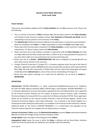### POLICY DETAILS

These terms and conditions together with the **Policy Schedule** sets out Your insurance cover. Please note the following:

- This is a contract of insurance ("Policy") between You, the purchaser named on the Policy Schedule, and Fortegra Europe Insurance Company Limited. Your Statement of Demands and Needs and the undertaking to pay the premium, forms the basis of the Policy.
- **The Administrator** (Defend Insurance) and Us do not provide advice or a personal recommendation about the suitability of this Policy. It is Your responsibility to ensure the Policy meets Your needs.
- Please check that the information contained in the Policy Schedule is correct and that it meets Your requirements. If it doesn't, please contact the Policy Retailer.
- Please read these terms and conditions carefully, in conjunction with the Policy Schedule and make sure You understand and fully comply with them, as failure to do so may jeopardise the payment of any claim which might arise and could lead to the insurance becoming void.
- Please note that as in Section MISINFORMATION, You have an obligation to provide Us with any facts which may be relevant to this insurance.
- Fortegra Financial Corporation ("Fortegra US"), a Company organised under the laws of the State of Delaware, registration number 4885848 with its main principal office located at 10151 Deerwood Park Blvd., Bldg. 100, Suite 330, Jacksonville, FL 32256, holds more than 10% of the voting rights and capital of both Us and the Administrator by virtue of the common shareholding of Fortegra US.
	- Words that have special meanings are in bold and the definitions can be found in Section 2 DEFINITIONS.

#### **DEFINITIONS**

Administrator: DEFEND INSURANCE s.r.o. Email; customerservice@defendinsurance.co.uk, Telephone No: 0161 451 4804; Address; Roztylska 1860/1 148 00 Prague, Czech Republic. DEFEND INSURANCE s.r.o. is a licensed independent insurance intermediary regulated by the Czech National Bank and is registered by the Financial Conduct Authority for the conduct of general insurance business under Temporary Permissions Regime for inbound EEA Firms, under the Firm Reference Number 679738. These registration details can be checked on the Financial Conduct Authority's Financial Services Register. Details of the Temporary Permissions Regime, which allows EEA-based rms to operate in the United Kingdom for a limited period while seeking full authorisation, are available on the Financial Conduct Authority's website. Additional details on the extent of DEFEND INSURANCE s.r.o.'s authorisation and regulation by the Financial Conduct Authority are available from the Administrator on request.

Contract of Insurance / Policy means the Mechanical Breakdown Insurance Policy underwritten between You (the Insured) and Fortegra Europe Insurance Company Limited

Foreign Matter means any object not forming part of the Vehicle.

Geographical Limits means the areas in which the Policy is effective and are Great Britain, Northern Ireland and Channel Islands plus any additional area detailed under Extra Benefits.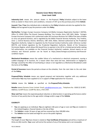Indemnity Limit means the amount shown in the Proposal / Policy Schedule subject to the lower limits as stated in these terms and conditions, inclusive of VAT up to the purchase price of the Vehicle

Insured / You / Your Any individual who is detailed on the Policy Schedule and who has applied for this Policy and has agreed to pay the premium under this Policy.

We/Us/Our: Fortegra Europe Insurance Company Ltd (Malta Company Registration Number C 84703), Office 13, SOHO Office The Strand, Fawwara Building, Triq I-Imsida, Gzira, GZR 1401, Malta. Fortegra Europe Insurance Company Ltd is authorized under the Insurance Business Act 1998 of the laws of Malta to carry out general business, and is regulated by the Malta Financial Services Authority, Triq l-Imdina, Zone 1, Central Business District, Birkirkara, CBD 1010, Malta. Deemed authorised by the Prudential Regulation Authority. Subject to regulation by the Financial Conduct Authority under reference number 805770, and limited regulation by the Prudential Regulation Authority. Details of the Temporary Permission Regime, which allows EEA-based firms to operate in the UK for a limited period while seeking full authorisation, are available on the Financial Conduct Authority's website. Annual reports on our solvency and financial position can be found at https://www.fortegra.eu/solvency-and-financialcondition-report.

Mechanical Breakdown means the sudden failure of a mechanical or electrical component, causing a sudden stoppage of its function, for a reason other than wear and tear, deterioration or negligence. Damage caused by the effect of overheating or abuse is not regarded as a Mechanical Breakdown under the terms of the Policy.

Period of Insurance means the period as shown on the schedule, from the start date to the end date of the Policy.

Proposal/Policy Schedule means any signed proposal and declaration together with any additional information You may have supplied to Us in support of Your application for insurance.

Vehicle means the Vehicle as specified on the Proposal/Policy Schedule.

Retailer means Dynamo Cover Limited Email; sales@dynamocover.com, Telephone No: 0330 22 32 897; Address; Cardiff House, Cardiff Rd, Barry, CF63 2AW .

Wear and Tear means the expected gradual reduction or deterioration in operating performance and/or function of any part(s) due to the age and/or mileage and/or usage of the Vehicle.

#### ELIGIBILITY

- You are applying as an individual, You are eighteen (18) years of age or over and You are resident in the United Kingdom, Channel Islands or the Isle of Man
- The Vehicle is under 10 years of age and has covered less than 100,000 miles
- The Vehicle must be taxed and legal for use on the public highway

#### POLICY TERM

The length of cover You have chosen is stated on Your Certificate of Insurance and will be a maximum of thirty-six (36) months. Your cover will end at the earliest of any of the below and is not renewable: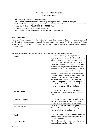- You failing to pay Your premium when due; or
- **You or the Insured Vehicle** no longer meeting the eligibility criteria for Your Policy; or
- **the Insured Vehicle** being sold, repossessed, disposed of by You or transferred to a new owner, other than under Section 9 - TRANSFERRING YOUR POLICY; or
- **the Policy** being cancelled by either You or Us; or
- The expiry date of the Policy as detailed on the Certificate of Insurance.

### WHAT IS COVERED

Please see Your proposal form for details of the maximum amounts that may be paid for each and any claim. These may be subject to lower limits as stated on these pages. All limits include VAT. There is no restriction to the number of claims You can make. Labour charges will be payable at £60 per hour inclusive of VAT.

| <b>Engine</b>            | The rocker assembly, including hydraulic<br>followers, inlet and exhaust valves [not burnt<br>valves], springs and guides, cylinder head<br>[not cracks and de-coking], cylinder head<br>gasket [except skim], push rods, camshaft and<br>followers, timing gears and chains [excluding<br>tensioner and connected electronic devices], oil<br>pump, pistons and rings, cylinder bores [not<br>cracked or porous bores], con rods, gudgeon<br>pins and bearings, crankshaft and bearings, inlet<br>manifold, solid mass or single flywheel (Not<br>Dual Mass) and ring gear. Timing belts are<br>covered as long as they have been changed in<br>line with the manufacturer's schedules. You will<br>need to be able to provide proof of this. |
|--------------------------|------------------------------------------------------------------------------------------------------------------------------------------------------------------------------------------------------------------------------------------------------------------------------------------------------------------------------------------------------------------------------------------------------------------------------------------------------------------------------------------------------------------------------------------------------------------------------------------------------------------------------------------------------------------------------------------------------------------------------------------------|
| <b>Manual gearbox</b>    | Internal shafts, gears, synchromesh hubs,<br>selectors, bearings and bushes and transfer<br>gears.                                                                                                                                                                                                                                                                                                                                                                                                                                                                                                                                                                                                                                             |
| <b>Automatic gearbox</b> | Internal shafts, gears, clutches, brake bands,<br>valve block, governor, oil pump, bearings and<br>bushes, servo, drive plate and transfer gears                                                                                                                                                                                                                                                                                                                                                                                                                                                                                                                                                                                               |
| <b>Torque converter</b>  | Failure of any internal mechanical parts.<br>Differential Internal crown wheel and pinion,<br>gears, shafts, bearings and bushes                                                                                                                                                                                                                                                                                                                                                                                                                                                                                                                                                                                                               |
| <b>Clutch</b>            | Centre plate, pressure plate, release bearing, oil<br>contamination [centre plate only] and master<br>and slave cylinders                                                                                                                                                                                                                                                                                                                                                                                                                                                                                                                                                                                                                      |
| <b>Front wheel drive</b> | Drive shafts, including constant velocity joints,<br>joints and couplings [not gaiters].                                                                                                                                                                                                                                                                                                                                                                                                                                                                                                                                                                                                                                                       |

This Policy covers the following parts against Mechanical Breakdown as defined below: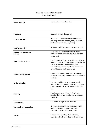| <b>Wheel bearings</b>              | Front and rear wheel bearings                                                                                                                                                                                                           |
|------------------------------------|-----------------------------------------------------------------------------------------------------------------------------------------------------------------------------------------------------------------------------------------|
| Propshaft                          | Universal joints and couplings.                                                                                                                                                                                                         |
| <b>Rear Wheel Drive</b>            | Half shafts, rear wheel external drive shafts,<br>including constant velocity joints, universal<br>joints and couplings [not gaiters].                                                                                                  |
| <b>Four Wheel Drive</b>            | All four wheel drive components are covered                                                                                                                                                                                             |
| Fuel System (diesel and<br>petrol) | Carburettors, automatic choke, lift pump,<br>mechanical or electrical fuel pumps and tank<br>sender unit.                                                                                                                               |
| <b>Fuel injection system</b>       | Throttle body, airflow meter, idle control valve,<br>cold start valve, warm up regulator, overrun cut<br>off valve, throttle potentiometer, fuel<br>accumulator, pressure regulator, map sensor<br>[except injectors and heater plugs]. |
| <b>Engine cooling system</b>       | Radiator, oil cooler, heater matrix, water pump,<br>viscous fan coupling, thermostat and thermostat<br>housing.                                                                                                                         |
| <b>Air Conditioning</b>            | The air conditioning compressor unit is<br>covered. In the event of a valid claim, system re-<br>gas is covered up to a maximum of £45.00 inc<br>VAT.                                                                                   |
| <b>Steering</b>                    | Steering rack and pinion [not gaiters],<br>steering box, power steering rack and pump,<br>idler box.                                                                                                                                    |
| <b>Turbo Charger</b>               | The turbo charger unit is covered.                                                                                                                                                                                                      |
| Front and rear suspension          | Hydrolastic displacers and hydropneumatic<br>spheres, coil springs, upper and lower<br>wishbones and ball and swivel joints.                                                                                                            |
| <b>Brakes</b>                      | Brake master cylinder, wheel cylinders,<br>restrictor valve, brake caliper seals and servo                                                                                                                                              |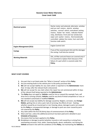| <b>Electrical system</b>       | Starter motor and solenoid, alternator, window<br>and sun roof motors, electric window<br>switches, sunroof switch, centralised locking<br>motors, heater fan motor, indicator flasher<br>relay, distributor, front and rear windscreen<br>wiper and washer motors, thermostatically<br>controlled radiator fan motor, horn and multi<br>function stalk switch. |
|--------------------------------|-----------------------------------------------------------------------------------------------------------------------------------------------------------------------------------------------------------------------------------------------------------------------------------------------------------------------------------------------------------------|
| <b>Engine Management (ECU)</b> | <b>Engine Control Unit</b>                                                                                                                                                                                                                                                                                                                                      |
| <b>Casings</b>                 | If any of the covered parts fail and this damages<br>the casing, it will also be covered                                                                                                                                                                                                                                                                        |
| <b>Working Materials</b>       | Oils, oil filter and anti freeze are covered only if<br>it is essential to replace them because of the<br>failure of a part which is covered under this<br>Policy.                                                                                                                                                                                              |

### WHAT IS NOT COVERED

- 1. Any part that is not listed under the "What is Covered" section of this Policy
- 2. Any pre-existing faults to the vehicle prior to the policy purchase date.
- 3. We will not accept liability for any claim which is reported to the Administrator more than 14 days after the relevant fault is discovered.
- 4. We will not accept for any claim where the repair has not commenced within 14 days of the relevant fault being reported to the Administrator.
- 5. The Policy does not apply to: Vehicles used for hire or reward (for example Taxis, self drive hire or driving schools), Vehicles used for any kind of timed competition or race; or non standard customized or modified Vehicles.
- 6. We will not accept any liability for damage caused by: Neglect, corrosion, any Foreign Matter, getting into or onto a part; lack of servicing, the effects of over- heating, whether caused by an insured part or not; freezing, abuse, damage to parts not covered by this Policy or consequential damage; or damage to parts we cover caused by parts not covered by the Policy.
- 7. Any claim within the first 30 (thirty) days of commencement of the Policy.
- 8. Wear and Tear, unless the additional premium has been paid and is detailed in your Schedule of Insurance.
- 9. Any excess that has been applied to this Policy.
- 10. Breakdown or damage to part(s) (whether insured or not) caused by or arising from overheating corrosion, frost, water, freezing liquids, abuse, oxidisation, not having the Vehicle serviced in line with the conditions of this Policy, not maintaining the Vehicle as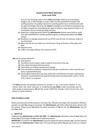set out in the Servicing section of this Policy, blockages, build up of contaminants, sludge or silt, or other foreign or waste matter that has prevented the part(s) from working properly, the gradual reduction in operating performance commensurate with the age and mileage covered by the Vehicle including but not limited to the gradual loss of engine compression necessitating the repair of valves or rings, gradual increase in oil consumption due to normal operating functions.

- 11. Repairing or replacing part(s)s which the Administrator believes were faulty or could have been identified by a suitably qualified engineer as being faulty before this Policy started.
- 12. Breakdown or damage caused by the use of the incorrect fuel, oil, lubricant, coolant or any other fluid.
- 13. Wear and Tear for any vehicle over five (5) years of age at the time of the policy start date
- 14. Diagnosis costs.
- 15. Labour costs above £60 per hour inclusive of VAT.

We will not accept liability for:

- 16. Deterioration.
- 17. The effects of poor repairs, faults or defects at the time of the sale.
- 18. Parts which have been fitted incorrectly.
- 19. Parts which are of faulty manufacture or design.
- 20. Parts not fitted as standard or optional extra by the manufacturer, unless cover for such items is agreed beforehand.
- 21. Good engineering practice (any parts which have not failed but have been reported and advised or recommended to be replaced during routine servicing and/or repair or at the time a repair is in progress).

The Policy excludes any damage caused by fire, accident or any road hazard whether or not insured under any motor insurance or accidental damage Policy. It does not provide cover for other people or physical injury. We will not accept liability for damage caused by war risks, sonic booms or nuclear radiation.

### HOW TO MAKE A CLAIM

Claims are processed entirely by phone, ensuring a fast, effective and simple claim procedure. Wherever possible, to avoid You being out of pocket, the Administrator will settle authorised claims directly with the repairer. Please ensure You follow the claims procedure, if You do not, the Administrator may not pay Your claim.

### 1. NOTIFY US

Telephone the Administrator on 0161 451 4803. The Administrator will make a note of Your claim and advise You of the location of Your nearest approved repairer.

IMPORTANT: In order for the Administrator to pay the approved repairer directly, You (not the repairer) must notify the **Administrator** of Your claim. This must be done before You give permission to a repairer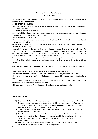to carry out any fault finding or remedial work. Notification from a repairer of a possible claim will not be accepted by the Administrator.

# 2. CONTACT THE REPAIRER

Book Your Vehicle in with the repairer and give Your permission to carry out any fault finding/diagnosis or dismantling necessary.

### 3. REPAIRER OBTAINS AUTHORITY

Once Your Vehicle, Policy schedule and service records have been handed to the repairer they will contact the Administrator to request approval for repairs.

### 4. AUTHORITY FOR CLAIM VALUE

If Your claim is accepted, an authorisation number will be issued to the repairer for the amount that will be paid under this Policy.

You are responsible for paying any amount the repairer charges over and above the authorised amount.

### 5. PAYMENT OF THE CLAIM

On completion of the repairs, the repairer must submit an invoice directly to the Administrator. The invoice must clearly show the authorisation number given, details of who the **Administrator** should pay and contain full details of the repairs, including details of all PART(s) used, labour and VAT. The Administrator may also need to see Your original service invoices.

The authorisation number will only be effective for ninety (90) days from the date it was issued and no payments will be made in respect of the authorisation number after the expiry of the ninety (90) day period.

### TO ALLOW YOUR CLAIM TO BE DEALT WITH EFFICIENTLY PLEASE OBSERVE THE FOLLOWING POINTS.

1. Check Your Policy type covers the parts(s) which have caused the breakdown.

2. Call the Administrator at the first opportunity if You believe You may need to make a claim.

3. Do not ask the repairer to notify the Administrator of a claim, this must be done by You the Policy holder.

4. If a repair is started without an authorisation number the costs will be Your responsibility and will automatically invalidate any claim under this Policy.

5. Please ensure You provide Your Policy schedule and service records to the repairer.

### CLAIMS CONDITIONS

- 1) The **Administrator** cannot agree to any claim without providing a claims authority number. The repairer must not start any repairs without this number. Please quote Your claims authority number each time You contact the Administrator about Your claim and make sure the repairer includes this number on their invoice.
- 2) If when making a claim You do not follow the correct procedure, We will not be able to pay Your claim in this instance.
- 3) No liability shall exist in respect of parts supplied, repairs carried out or any other claim under the Policy other than claims made in accordance with the procedures set out in these terms and conditions and for which specific authorisation is given by the Administrator.
- 4) We reserve the right to provide replacement parts and to carry out repairs under the Policy or to arrange for their provision by other persons.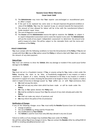- 5) The Administrator may insist that Your repairer uses exchanged or reconditioned parts to affect a repair.
- 6) If the part to be replaced has some wear or the part improves the general condition or value of the Vehicle, You may be required to pay an amount towards the improvement.
- 7) The amount of time allowed for labour will be in line with the manufacturer's/Glass's Guide standard repair times.
- 8) The cost of diagnosis is not included
- 9) The Insurer and the Administrator reserve the right to examine the Vehicle, to subject it to expert independent assessment and to name the repairer to be used. The Administrator will use the results of any expert independent assessment to determine the amount to be paid in respect of a claim. This will be subject to the claimable limits and the terms and conditions of the Policy.

### POLICY CONDITIONS

You must comply with the following conditions to have the full protection of the Policy. If You do not comply with them We may at Our option cancel the Policy or refuse to deal with Your claim or reduce the amount of any claim payment.

### Duty of Care

You must not continue to drive the Vehicle after any damage or incident if this could cause further damage to the Vehicle.

### Fraud

You must not act in a fraudulent manner. If You, or anyone acting for You, make a claim under the **Policy** knowing the claim to be false, or fraudulently exaggerated in any respect; or make a statement in support of a claim, knowing the statement to be false in any respect; or submit a document in support of a claim, knowing the document to be forged or false in any respect; or make a claim in respect of any loss or damage caused by Your willful act, or with Your connivance, then:

- We shall not pay the claim;
- We shall not pay any other claim which has been made or will be made under the Policy;
- We may at Our option declare the Policy void;
- We shall be entitled to recover from You the amount of any claim already paid under the Policy;
- We shall not make any return of premium; and
- We may inform the police of the circumstances

### Notification of Changes

If any of the following changes occur You must notify the Retailer Dynamo Cover Ltd immediately.

- Change of address
- The use of Vehicle e.g. being used for Private Hire
- Any modifications to Your Vehicle
- The Vehicle is used for more than sixty (60) days abroad in any one (1) year

Failure to notify us of any changes may invalidate You cover under the Policy.

We will then advise You of any changes in terms. You can contact the Retailer either by calling 0330 22 32 897 or emailing sales@dynamocover.com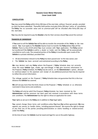#### CANCELLATION

You may cancel the Policy within thirty (30) days of the start date without financial penalty provided no claim has been submitted. Thereafter both parties must give thirty (30) days' notice of cancellation. The Policy has no surrender value and no premium paid will be refunded after thirty (30) days of the start date.

You may also be required to pay the Retailer a fee for their services should You cancel the contract

#### TRANSFER OF OWNERSHIP

If You want to sell the Vehicle You will be able to transfer the remainder of the Policy to the new owner. You must apply to The Retailer Dyamo Cover to transfer the Policy before You sell the Vehicle. There is a fee of £25 which You must enclose with Your application. The Policy cannot be transferred if the Vehicle is sold to a dealer or trader and the Policy will be automatically cancelled on such a sale. The unexpired portion of the Policy is transferable upon resale of the Vehicle to a private individual, provided that:

- All documentation relevant to the Policy has been passed over to the new owner; and
- The Vehicle has been serviced and maintained according to the Policy.

We may declare void any Policy where the Proposal / Policy Schedule does not correctly show the exact Vehicle type, model, age and mileage. If You give incorrect information on the Proposal / Policy Schedule, the Policy may be void or, at the Administrator's option, allowed to continue subject to the payment and receipt of any additional premium that may be required to reflect the correct information.

The mileage quoted on the Proposal  $/$  Policy Schedule does not guarantee that this is the true distance the Vehicle has covered.

We will not pay more than the limits shown on the Proposal / Policy Schedule or as otherwise restricted in these terms and conditions.

The Policy will only be valid if the Proposal / Policy Schedule has been received by the Administrator and the premium has been paid and received in accordance with these terms and conditions. The Administrator has the right to refuse an application for cover.

Your rights as set out in the Policy are in addition to Your legal rights.

You cannot change these terms and conditions unless You have Our written agreement. We may appoint any person to handle claims, including payment thereof. We reserve the right to change at any time any of the parties providing administration or claims handling or related services under the Policy.

At the time of cover the **Vehicle** must be taxed and legal for use on the public highway.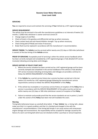#### **SERVICING**

You are required to ensure and maintain the servicing of Your Vehicle by a VAT-registered garage.

#### SERVICE REQUIREMENT:

The vehicle must be serviced in line with the manufacturers guidelines or at intervals of twelve (12) months / 12000 miles whichever is sooner and must consist of:

- Change engine oil and filter.
- Check oil levels in the gearbox and differential and top up where necessary.
- Check coolant level and anti-freeze/inhibitor strength. Top up where necessary.
- Check timing belt [if fitted] and renew if necessary.
- Brake fluid must be replaced in accordance with the manufacturer's recommendation.

SERVICE TIMING: The Vehicle must be serviced within twenty-one (21) days or 500 miles (whichever is sooner) of the due timing of the Vehicle service.

PROOF OF SERVICING: Acceptable proof of servicing is either the vehicle service handbook which has been correctly stamped and completed by a VAT registered garage or fully detailed VAT service invoice(s) indicating servicing dates and mileages.

#### SERVICE HISTORY AT POLICY START DATE

- 1. Where the service schedule has been carried out by a VAT registered garage and has been correctly stamped and completed in the service handbook of the vehicle or fully detailed VAT service invoice(s) indicating servicing dates and mileages are provided, continue to follow the SERVICE REQUIREMENT of this Policy.
- 2. If the Vehicle has a partial service history but a service has been carried out in the last twelve (12) months by a VAT registered garage following the manufacturers service requirements continue to follow the SERVICE REQUIRMENT of this Policy.
- 3. If the vehicle has incomplete or no previous service history at inception of this **Policy** then a service in accordance with the SERVICE REQUIREMENT of this policy must be carried our within twenty-one (21) days or 500 miles (whichever sooner) of inception of the Policy.
- 4. Failure to maintain and provide proof that the service standards set out in points 1,2 and 3 under this section of this Policy have been met will invalidate the cover.

#### Warning

Timing belts [otherwise known as camshaft drive belts]. If Your Vehicle has a timing belt, please make sure that it is in good condition and that it is checked and changed in line with the manufacturer's recommendations. If the timing belt breaks it can cause serious and unnecessary engine damage and inconvenience. No responsibility will be accepted for damage caused by the failure of a worn out timing belt which was not checked at either a purchase or annual inspection.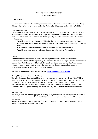#### EXTRA BENEFITS

The extra benefits listed below will be provided subject to the limits specified in the Proposal / Policy Schedule if any of the parts covered under the Policy fail and You are stranded with the Vehicle.

#### Vehicle Replacement

The Administrator will pay up to £30 a day [including VAT], for up to seven days, towards the cost of a replacement Vehicle. You can only have a replacement Vehicle if the Vehicle is being repaired under the Policy and prior authority has been given by the Administrator's claims department.

#### Exclusions

- We will not provide a replacement Vehicle for the first twenty-four (24) hours that You are without the Vehicle or during any delay the repairer may have waiting for parts or commencing repairs.
- We will not cover the costs of or fuel or insurance for the replacement Vehicle.
- We will not cover any motoring fines and congestion charges that You may incur

#### Recovery

If You have not chosen the annual breakdown cover product available separately, then the Administrator will pay up to £100 [including VAT] towards the cost of towing the Vehicle to the nearest repairer if the Vehicle suffers a Mechanical Breakdown. You should ensure that Your repairer obtains an authority number that covers the recovery, and that the invoice of the person who recovered the Vehicle or the repairer's invoice is sent to:

The Administrator Defend Insurance s.r.o EMAIL: claims@defendinsurance.co.uk

### Overnight Accommodation and Rail Fares

The Administrator will pay up to £60 towards hotel expenses or a return rail ticket if the Vehicle suffers a valid Mechanical Breakdown and You are unable to return home. We will require You to provide proof of the expenditure. You cannot claim for the cost of meals and drinks. You can only qualify for overnight accommodation and rail fares if the Vehicle is being repaired under the Policy and prior authority has been given by the Administrator's claims department.

#### Driving abroad

The Policy is valid for up to an aggregate of Sixty (60) days per annum for driving in the Republic of Ireland and mainland Europe. The Administrator will not pay more than the equivalent UK cost for parts and labour.

N.B. These benefits will not be provided if the failure is not covered by the Policy. Payments will be limited to those levels outlined in the Policy.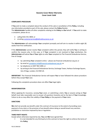#### COMPLAINTS PROCEDURE

If You wish to make a complaint about the conduct of the sale or cancellation of this Policy, including any information provided as part of the sale, please contact the **Policy** Retailer.

The Administrator handles all other complaints relating to this Policy on Our behalf. If You wish to make a complaint, please do so:

- calling 0161 451 4804; or
- emailing customerservice@defendinsurance.co.uk

The Administrator will acknowledge Your complaint promptly and will aim to resolve it within eight (8) weeks from first notification.

If the Administrator cannot resolve Your complaint within this period, they will notify You in writing to confirm the reasons why. In this case, or if Your complaint is not resolved to Your satisfaction, the Administrator will advise You of Your rights to refer Your complaint to The Financial Ombudsman Service, free of charge:

- by submitting Your complaint online please see financial-ombudsman.org.uk; or
- by email at complaint.info@financial-ombudsman.org.uk; or
- by telephone on 0207 964 1000; or
- by writing to the Financial Ombudsman Service, Exchange Tower, Harbour Exchange Square, Isle of Dogs, London, E14 9SR UK.

IMPORTANT: The Financial Ombudsman Service will expect You to have followed the above procedure before they accept Your case.

Following this complaints procedure does not affect Your legal rights.

### MISINFORMATION

When applying for insurance, varying Your cover, or submitting a claim, You or anyone acting on Your behalf must take reasonable care to answer all questions honestly and to the best of Your knowledge. Failure to do so may affect the validity of Your Policy or the payment of Your claim.

#### **SANCTIONS**

We shall not provide any benefit under this contract of insurance to the extent of providing cover, payment of any claim or the provision of any benefit where doing so would breach any sanction, prohibition or restriction imposed by law or regulation.

### THIRD PARTY RIGHTS

Except where otherwise required by law, You and We have agreed that:

• it is not intended for any third party to this contract to have the right to enforce the terms of this Policy;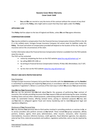You and We can rescind or vary the terms of this contract without the consent of any third party to this Policy, who might seek to assert that they have rights under this Policy.

# APPLICABLE LAW

This Policy shall be subject to the law of England and Wales, unless We and You agree otherwise.

### COMPENSATION SCHEME

You may be entitled to compensation from the Financial Services Compensation Scheme (FSCS) in the UK if, in the unlikely event, Fortegra Europe Insurance Company Ltd cannot meet its liabilities under this Policy. The level and extent of compensation provided will depend on the location of the risk, the type of insurance and on the circumstances of the claim.

Further information about the Financial Services Compensation Scheme is available from the FSCS website www.fscs.org.uk.

The FSCS can be contacted:

- online by completing the form on the FSCS website www.fscs.org.uk/contact-us/; or
- by calling 0800 678 1100; or
- by writing to Financial Services Compensation Scheme, PO Box 300, Mitcheldean, GL17 1DY; or
- by live chat via the FSCS website www.fscs.org.uk/contact-us/.

### PRIVACY AND DATA PROTECTION NOTICE

### Data Protection

Fortegra Europe Insurance Company Ltd (a joint Data Controller with the **Administrator** and the **Retailer**) is committed to protecting and respecting Your privacy in accordance with the current Data Protection Legislation ("Legislation"). Below is a summary of the main ways in which We process Your personal data.

### How We Use Your Personal Data

We may use the personal data We hold about You for the purposes of performing Your contract of insurance, this includes providing insurance that You request of Us and administering the same; including handling claims and any other related purposes, underwriting (which may include underwriting decisions made via automated means), offering renewal terms, pricing or statistical purposes. We may also use Your data to safeguard against fraud and money laundering and to meet Our general legal and regulatory obligations.

### Disclosure of Your Personal Data

We may disclose Your personal data to third parties involved in providing products or services to Us, or to service providers who perform services on Our behalf. These include Our group companies, affinity partners, brokers, agents, third party administrators, other insurers, reinsurers, other insurance intermediaries, insurance reference bureaus, credit agencies, fraud detection agencies, loss adjusters, external law firms, external accountants and auditors, regulatory authorities, and as may be required by law.

FEIC DC MBI 0921 International Transfers of Data